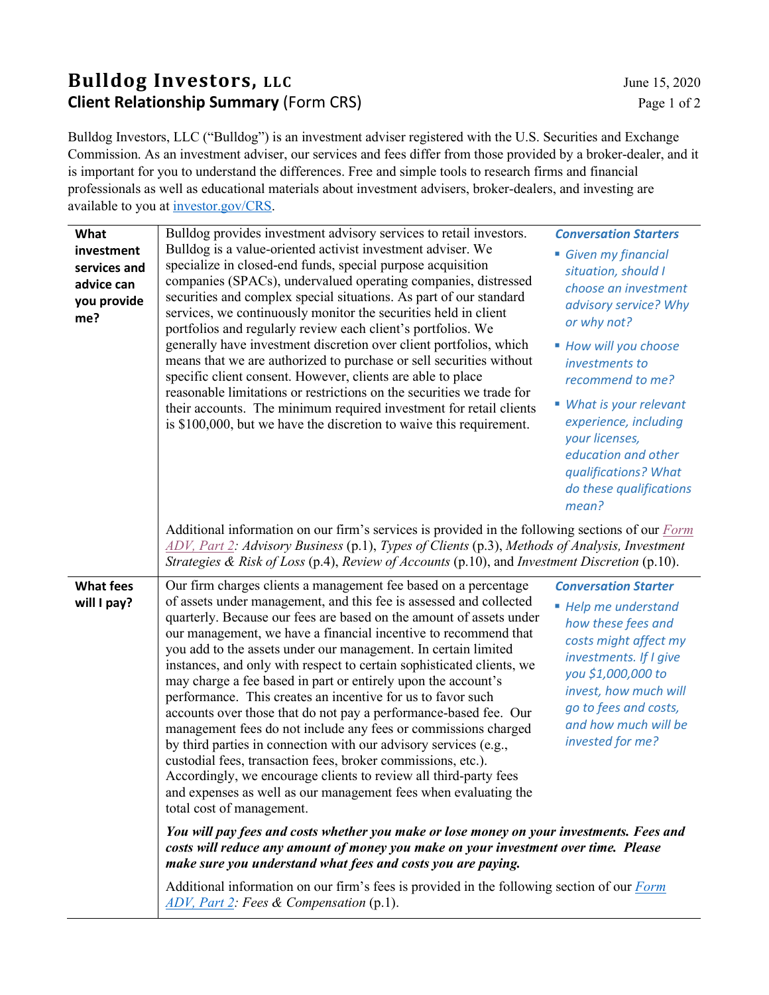## **Bulldog Investors, LLC** June 15, 2020 **Client Relationship Summary** (Form CRS) Page 1 of 2

Bulldog Investors, LLC ("Bulldog") is an investment adviser registered with the U.S. Securities and Exchange Commission. As an investment adviser, our services and fees differ from those provided by a broker-dealer, and it is important for you to understand the differences. Free and simple tools to research firms and financial professionals as well as educational materials about investment advisers, broker-dealers, and investing are available to you a[t investor.gov/CRS.](https://www.investor.gov/home/welcome-investor-gov-crs)

| What<br>investment<br>services and<br>advice can<br>you provide<br>me? | Bulldog provides investment advisory services to retail investors.<br>Bulldog is a value-oriented activist investment adviser. We<br>specialize in closed-end funds, special purpose acquisition<br>companies (SPACs), undervalued operating companies, distressed<br>securities and complex special situations. As part of our standard<br>services, we continuously monitor the securities held in client<br>portfolios and regularly review each client's portfolios. We<br>generally have investment discretion over client portfolios, which<br>means that we are authorized to purchase or sell securities without<br>specific client consent. However, clients are able to place<br>reasonable limitations or restrictions on the securities we trade for<br>their accounts. The minimum required investment for retail clients<br>is \$100,000, but we have the discretion to waive this requirement.                                                                                            | <b>Conversation Starters</b><br>Given my financial<br>situation, should I<br>choose an investment<br>advisory service? Why<br>or why not?<br>■ How will you choose<br>investments to<br>recommend to me?<br>■ What is your relevant<br>experience, including<br>your licenses,<br>education and other<br>qualifications? What<br>do these qualifications<br>mean? |  |
|------------------------------------------------------------------------|----------------------------------------------------------------------------------------------------------------------------------------------------------------------------------------------------------------------------------------------------------------------------------------------------------------------------------------------------------------------------------------------------------------------------------------------------------------------------------------------------------------------------------------------------------------------------------------------------------------------------------------------------------------------------------------------------------------------------------------------------------------------------------------------------------------------------------------------------------------------------------------------------------------------------------------------------------------------------------------------------------|-------------------------------------------------------------------------------------------------------------------------------------------------------------------------------------------------------------------------------------------------------------------------------------------------------------------------------------------------------------------|--|
|                                                                        | Additional information on our firm's services is provided in the following sections of our $\frac{Form}{Form}$<br>$ADV$ , Part 2: Advisory Business (p.1), Types of Clients (p.3), Methods of Analysis, Investment<br>Strategies & Risk of Loss (p.4), Review of Accounts (p.10), and Investment Discretion (p.10).                                                                                                                                                                                                                                                                                                                                                                                                                                                                                                                                                                                                                                                                                      |                                                                                                                                                                                                                                                                                                                                                                   |  |
| <b>What fees</b><br>will I pay?                                        | Our firm charges clients a management fee based on a percentage<br>of assets under management, and this fee is assessed and collected<br>quarterly. Because our fees are based on the amount of assets under<br>our management, we have a financial incentive to recommend that<br>you add to the assets under our management. In certain limited<br>instances, and only with respect to certain sophisticated clients, we<br>may charge a fee based in part or entirely upon the account's<br>performance. This creates an incentive for us to favor such<br>accounts over those that do not pay a performance-based fee. Our<br>management fees do not include any fees or commissions charged<br>by third parties in connection with our advisory services (e.g.,<br>custodial fees, transaction fees, broker commissions, etc.).<br>Accordingly, we encourage clients to review all third-party fees<br>and expenses as well as our management fees when evaluating the<br>total cost of management. | <b>Conversation Starter</b><br>■ Help me understand<br>how these fees and<br>costs might affect my<br>investments. If I give<br>you \$1,000,000 to<br>invest, how much will<br>go to fees and costs,<br>and how much will be<br>invested for me?                                                                                                                  |  |
|                                                                        | You will pay fees and costs whether you make or lose money on your investments. Fees and<br>costs will reduce any amount of money you make on your investment over time. Please<br>make sure you understand what fees and costs you are paying.                                                                                                                                                                                                                                                                                                                                                                                                                                                                                                                                                                                                                                                                                                                                                          |                                                                                                                                                                                                                                                                                                                                                                   |  |
|                                                                        | Additional information on our firm's fees is provided in the following section of our Form<br>ADV, Part 2: Fees & Compensation (p.1).                                                                                                                                                                                                                                                                                                                                                                                                                                                                                                                                                                                                                                                                                                                                                                                                                                                                    |                                                                                                                                                                                                                                                                                                                                                                   |  |